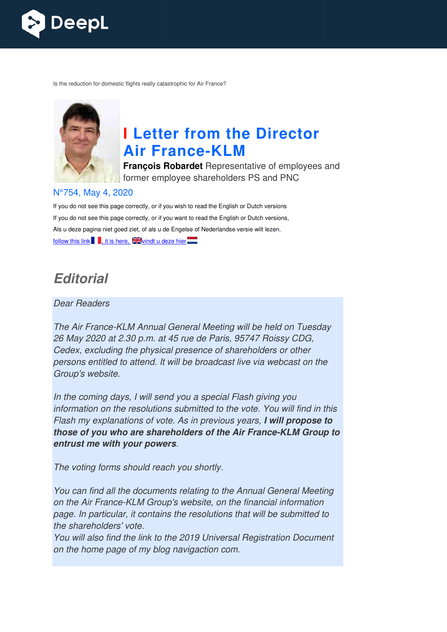

Is the reduction for domestic flights really catastrophic for Air France?



# **I Letter from the Director Air France France-KLM**

**François Robardet** Representative of employees and former employee shareholders PS and PNC

#### N°754, May 4, 2020

If you do not see this page correctly, or if you wish to read the English or Dutch versions If you do not see this page correctly, or if you want to read the English or Dutch versions, Als u deze pagina niet goed ziet, of als u de Engelse of Nederlandse versie wilt lezen, follow this link  $\blacksquare$ , it is here,  $\square$  windt u deze hier $\square$ 

# **Editorial**

#### Dear Readers

The Air France-KLM Annual General Meeting will be held on Tuesday<br>26 May 2020 at 2.30 p.m. at 45 rue de Paris, 95747 Roissy CDG,<br>Cedex, excluding the physical presence of shareholders or other<br>persons entitled to attend. I 26 May 2020 at 2.30 p.m. at 45 rue de Paris, 95747 Roissy CDG, Cedex, excluding the physical presence of shareholders or other persons entitled to attend. It will be broadcast live via webca st Group's website.

In the coming days, I will send you a special Flash giving you information on the resolutions submitted to the vote. You will find in this Flash my explanations of vote. As in previous years, **I will propose to**  those of you who are shareholders of the Air France-KLM Group to **entrust me with your powers** .

The voting forms should reach you shortly.

You can find all the documents relating to the Annual General Meeting on the Air France-KLM Group's website, on the financial information page. In particular, it contains the resolutions that will be submitted to the shareholders' vote.

You will also find the link to the 2019 Universal Registration Document on the home page of my blog navigaction com.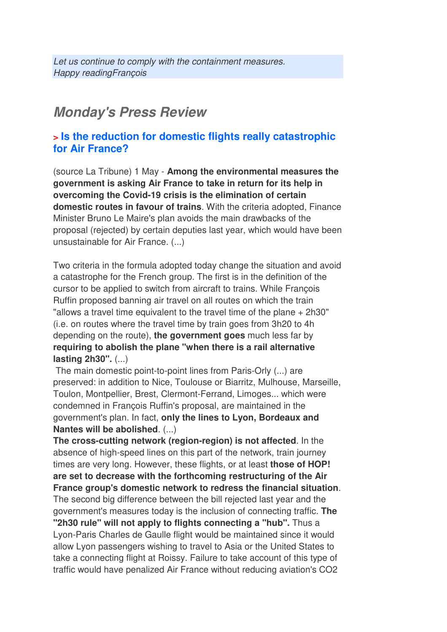# **Monday's Press Review**

# **> Is the reduction for domestic flights really catastrophic for Air France?**

(source La Tribune) 1 May - **Among the environmental measures the government is asking Air France to take in return for its help in overcoming the Covid-19 crisis is the elimination of certain domestic routes in favour of trains**. With the criteria adopted, Finance Minister Bruno Le Maire's plan avoids the main drawbacks of the proposal (rejected) by certain deputies last year, which would have been unsustainable for Air France. (...)

Two criteria in the formula adopted today change the situation and avoid a catastrophe for the French group. The first is in the definition of the cursor to be applied to switch from aircraft to trains. While François Ruffin proposed banning air travel on all routes on which the train "allows a travel time equivalent to the travel time of the plane + 2h30" (i.e. on routes where the travel time by train goes from 3h20 to 4h depending on the route), **the government goes** much less far by **requiring to abolish the plane "when there is a rail alternative lasting 2h30".** (...)

 The main domestic point-to-point lines from Paris-Orly (...) are preserved: in addition to Nice, Toulouse or Biarritz, Mulhouse, Marseille, Toulon, Montpellier, Brest, Clermont-Ferrand, Limoges... which were condemned in François Ruffin's proposal, are maintained in the government's plan. In fact, **only the lines to Lyon, Bordeaux and Nantes will be abolished**. (...)

**The cross-cutting network (region-region) is not affected**. In the absence of high-speed lines on this part of the network, train journey times are very long. However, these flights, or at least **those of HOP! are set to decrease with the forthcoming restructuring of the Air France group's domestic network to redress the financial situation**. The second big difference between the bill rejected last year and the government's measures today is the inclusion of connecting traffic. **The "2h30 rule" will not apply to flights connecting a "hub".** Thus a Lyon-Paris Charles de Gaulle flight would be maintained since it would allow Lyon passengers wishing to travel to Asia or the United States to take a connecting flight at Roissy. Failure to take account of this type of traffic would have penalized Air France without reducing aviation's CO2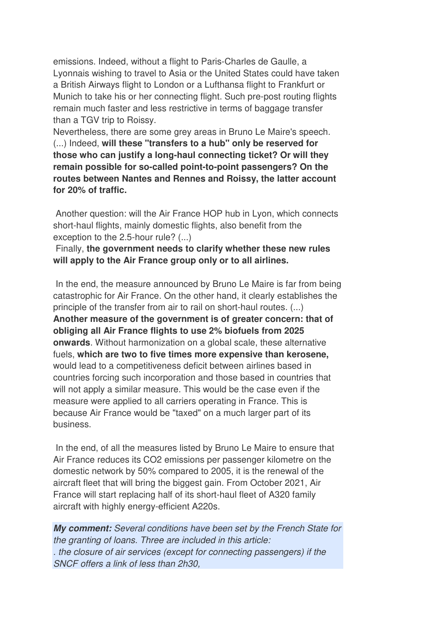emissions. Indeed, without a flight to Paris-Charles de Gaulle, a Lyonnais wishing to travel to Asia or the United States could have taken a British Airways flight to London or a Lufthansa flight to Frankfurt or Munich to take his or her connecting flight. Such pre-post routing flights remain much faster and less restrictive in terms of baggage transfer than a TGV trip to Roissy.

Nevertheless, there are some grey areas in Bruno Le Maire's speech. (...) Indeed, **will these "transfers to a hub" only be reserved for those who can justify a long-haul connecting ticket? Or will they remain possible for so-called point-to-point passengers? On the routes between Nantes and Rennes and Roissy, the latter account for 20% of traffic.** 

 Another question: will the Air France HOP hub in Lyon, which connects short-haul flights, mainly domestic flights, also benefit from the exception to the 2.5-hour rule? (...)

 Finally, **the government needs to clarify whether these new rules will apply to the Air France group only or to all airlines.** 

In the end, the measure announced by Bruno Le Maire is far from being catastrophic for Air France. On the other hand, it clearly establishes the principle of the transfer from air to rail on short-haul routes. (...) **Another measure of the government is of greater concern: that of obliging all Air France flights to use 2% biofuels from 2025 onwards**. Without harmonization on a global scale, these alternative fuels, **which are two to five times more expensive than kerosene,** would lead to a competitiveness deficit between airlines based in countries forcing such incorporation and those based in countries that will not apply a similar measure. This would be the case even if the measure were applied to all carriers operating in France. This is because Air France would be "taxed" on a much larger part of its business.

 In the end, of all the measures listed by Bruno Le Maire to ensure that Air France reduces its CO2 emissions per passenger kilometre on the domestic network by 50% compared to 2005, it is the renewal of the aircraft fleet that will bring the biggest gain. From October 2021, Air France will start replacing half of its short-haul fleet of A320 family aircraft with highly energy-efficient A220s.

**My comment:** Several conditions have been set by the French State for the granting of loans. Three are included in this article: . the closure of air services (except for connecting passengers) if the SNCF offers a link of less than 2h30,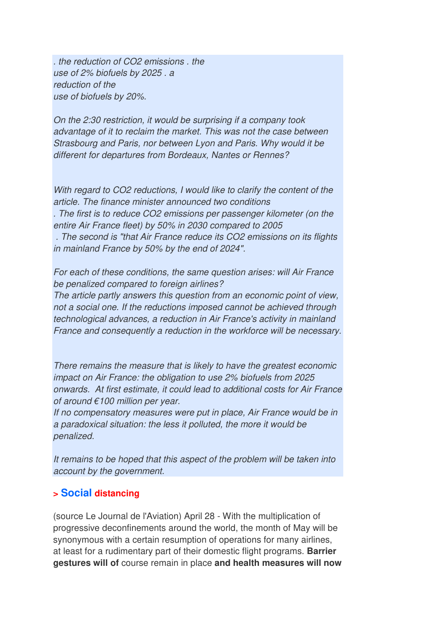. the reduction of CO2 emissions . the use of 2% biofuels by 2025 . a reduction of the use of biofuels by 20%.

On the 2:30 restriction, it would be surprising if a company took advantage of it to reclaim the market. This was not the case between Strasbourg and Paris, nor between Lyon and Paris. Why would it be different for departures from Bordeaux, Nantes or Rennes?

With regard to CO2 reductions, I would like to clarify the content of the article. The finance minister announced two conditions . The first is to reduce CO2 emissions per passenger kilometer (on the entire Air France fleet) by 50% in 2030 compared to 2005 . The second is "that Air France reduce its CO2 emissions on its flights in mainland France by 50% by the end of 2024".

For each of these conditions, the same question arises: will Air France be penalized compared to foreign airlines?

The article partly answers this question from an economic point of view, not a social one. If the reductions imposed cannot be achieved through technological advances, a reduction in Air France's activity in mainland France and consequently a reduction in the workforce will be necessary.

There remains the measure that is likely to have the greatest economic impact on Air France: the obligation to use 2% biofuels from 2025 onwards. At first estimate, it could lead to additional costs for Air France of around €100 million per year.

If no compensatory measures were put in place, Air France would be in a paradoxical situation: the less it polluted, the more it would be penalized.

It remains to be hoped that this aspect of the problem will be taken into account by the government.

#### **> Social distancing**

(source Le Journal de l'Aviation) April 28 - With the multiplication of progressive deconfinements around the world, the month of May will be synonymous with a certain resumption of operations for many airlines, at least for a rudimentary part of their domestic flight programs. **Barrier gestures will of** course remain in place **and health measures will now**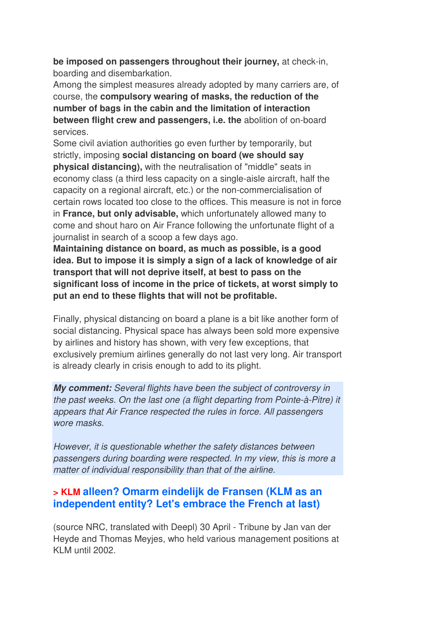**be imposed on passengers throughout their journey,** at check-in, boarding and disembarkation.

Among the simplest measures already adopted by many carriers are, of course, the **compulsory wearing of masks, the reduction of the number of bags in the cabin and the limitation of interaction between flight crew and passengers, i.e. the** abolition of on-board services.

Some civil aviation authorities go even further by temporarily, but strictly, imposing **social distancing on board (we should say physical distancing),** with the neutralisation of "middle" seats in economy class (a third less capacity on a single-aisle aircraft, half the capacity on a regional aircraft, etc.) or the non-commercialisation of certain rows located too close to the offices. This measure is not in force in **France, but only advisable,** which unfortunately allowed many to come and shout haro on Air France following the unfortunate flight of a journalist in search of a scoop a few days ago.

**Maintaining distance on board, as much as possible, is a good idea. But to impose it is simply a sign of a lack of knowledge of air transport that will not deprive itself, at best to pass on the significant loss of income in the price of tickets, at worst simply to put an end to these flights that will not be profitable.** 

Finally, physical distancing on board a plane is a bit like another form of social distancing. Physical space has always been sold more expensive by airlines and history has shown, with very few exceptions, that exclusively premium airlines generally do not last very long. Air transport is already clearly in crisis enough to add to its plight.

**My comment:** Several flights have been the subject of controversy in the past weeks. On the last one (a flight departing from Pointe-à-Pitre) it appears that Air France respected the rules in force. All passengers wore masks.

However, it is questionable whether the safety distances between passengers during boarding were respected. In my view, this is more a matter of individual responsibility than that of the airline.

# **> KLM alleen? Omarm eindelijk de Fransen (KLM as an independent entity? Let's embrace the French at last)**

(source NRC, translated with Deepl) 30 April - Tribune by Jan van der Heyde and Thomas Meyjes, who held various management positions at KLM until 2002.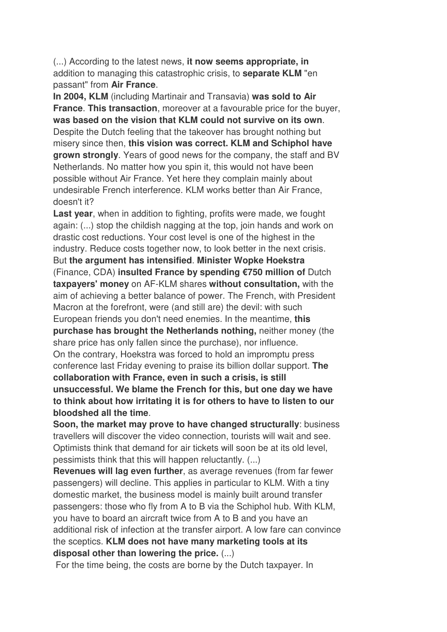(...) According to the latest news, **it now seems appropriate, in** addition to managing this catastrophic crisis, to **separate KLM** "en passant" from **Air France**.

**In 2004, KLM** (including Martinair and Transavia) **was sold to Air France**. **This transaction**, moreover at a favourable price for the buyer, **was based on the vision that KLM could not survive on its own**. Despite the Dutch feeling that the takeover has brought nothing but misery since then, **this vision was correct. KLM and Schiphol have grown strongly**. Years of good news for the company, the staff and BV Netherlands. No matter how you spin it, this would not have been possible without Air France. Yet here they complain mainly about undesirable French interference. KLM works better than Air France, doesn't it?

**Last year**, when in addition to fighting, profits were made, we fought again: (...) stop the childish nagging at the top, join hands and work on drastic cost reductions. Your cost level is one of the highest in the industry. Reduce costs together now, to look better in the next crisis. But **the argument has intensified**. **Minister Wopke Hoekstra** (Finance, CDA) **insulted France by spending €750 million of** Dutch **taxpayers' money** on AF-KLM shares **without consultation,** with the aim of achieving a better balance of power. The French, with President Macron at the forefront, were (and still are) the devil: with such European friends you don't need enemies. In the meantime, **this purchase has brought the Netherlands nothing,** neither money (the share price has only fallen since the purchase), nor influence. On the contrary, Hoekstra was forced to hold an impromptu press conference last Friday evening to praise its billion dollar support. **The collaboration with France, even in such a crisis, is still unsuccessful. We blame the French for this, but one day we have to think about how irritating it is for others to have to listen to our bloodshed all the time**.

**Soon, the market may prove to have changed structurally**: business travellers will discover the video connection, tourists will wait and see. Optimists think that demand for air tickets will soon be at its old level, pessimists think that this will happen reluctantly. (...)

**Revenues will lag even further**, as average revenues (from far fewer passengers) will decline. This applies in particular to KLM. With a tiny domestic market, the business model is mainly built around transfer passengers: those who fly from A to B via the Schiphol hub. With KLM, you have to board an aircraft twice from A to B and you have an additional risk of infection at the transfer airport. A low fare can convince the sceptics. **KLM does not have many marketing tools at its disposal other than lowering the price.** (...)

For the time being, the costs are borne by the Dutch taxpayer. In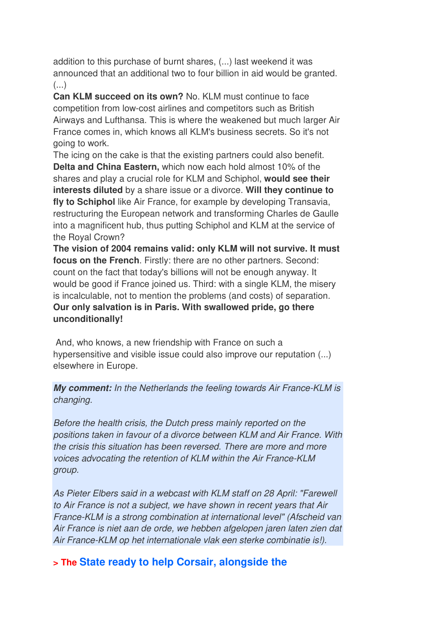addition to this purchase of burnt shares, (...) last weekend it was announced that an additional two to four billion in aid would be granted. (...)

**Can KLM succeed on its own?** No. KLM must continue to face competition from low-cost airlines and competitors such as British Airways and Lufthansa. This is where the weakened but much larger Air France comes in, which knows all KLM's business secrets. So it's not going to work.

The icing on the cake is that the existing partners could also benefit. **Delta and China Eastern,** which now each hold almost 10% of the shares and play a crucial role for KLM and Schiphol, **would see their interests diluted** by a share issue or a divorce. **Will they continue to fly to Schiphol** like Air France, for example by developing Transavia, restructuring the European network and transforming Charles de Gaulle into a magnificent hub, thus putting Schiphol and KLM at the service of the Royal Crown?

**The vision of 2004 remains valid: only KLM will not survive. It must focus on the French**. Firstly: there are no other partners. Second: count on the fact that today's billions will not be enough anyway. It would be good if France joined us. Third: with a single KLM, the misery is incalculable, not to mention the problems (and costs) of separation. **Our only salvation is in Paris. With swallowed pride, go there unconditionally!** 

 And, who knows, a new friendship with France on such a hypersensitive and visible issue could also improve our reputation (...) elsewhere in Europe.

**My comment:** In the Netherlands the feeling towards Air France-KLM is changing.

Before the health crisis, the Dutch press mainly reported on the positions taken in favour of a divorce between KLM and Air France. With the crisis this situation has been reversed. There are more and more voices advocating the retention of KLM within the Air France-KLM group.

As Pieter Elbers said in a webcast with KLM staff on 28 April: "Farewell to Air France is not a subject, we have shown in recent years that Air France-KLM is a strong combination at international level" (Afscheid van Air France is niet aan de orde, we hebben afgelopen jaren laten zien dat Air France-KLM op het internationale vlak een sterke combinatie is!).

# **> The State ready to help Corsair, alongside the**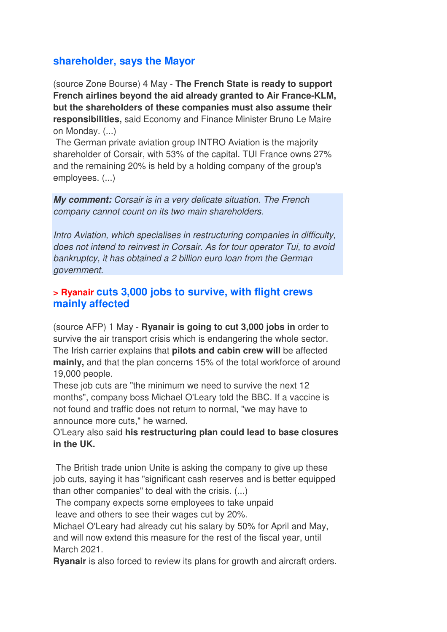# **shareholder, says the Mayor**

(source Zone Bourse) 4 May - **The French State is ready to support French airlines beyond the aid already granted to Air France-KLM, but the shareholders of these companies must also assume their responsibilities,** said Economy and Finance Minister Bruno Le Maire on Monday. (...)

 The German private aviation group INTRO Aviation is the majority shareholder of Corsair, with 53% of the capital. TUI France owns 27% and the remaining 20% is held by a holding company of the group's employees. (...)

**My comment:** Corsair is in a very delicate situation. The French company cannot count on its two main shareholders.

Intro Aviation, which specialises in restructuring companies in difficulty, does not intend to reinvest in Corsair. As for tour operator Tui, to avoid bankruptcy, it has obtained a 2 billion euro loan from the German government.

#### **> Ryanair cuts 3,000 jobs to survive, with flight crews mainly affected**

(source AFP) 1 May - **Ryanair is going to cut 3,000 jobs in** order to survive the air transport crisis which is endangering the whole sector. The Irish carrier explains that **pilots and cabin crew will** be affected **mainly,** and that the plan concerns 15% of the total workforce of around 19,000 people.

These job cuts are "the minimum we need to survive the next 12 months", company boss Michael O'Leary told the BBC. If a vaccine is not found and traffic does not return to normal, "we may have to announce more cuts," he warned.

#### O'Leary also said **his restructuring plan could lead to base closures in the UK.**

 The British trade union Unite is asking the company to give up these job cuts, saying it has "significant cash reserves and is better equipped than other companies" to deal with the crisis. (...)

 The company expects some employees to take unpaid leave and others to see their wages cut by 20%.

Michael O'Leary had already cut his salary by 50% for April and May, and will now extend this measure for the rest of the fiscal year, until March 2021.

**Ryanair** is also forced to review its plans for growth and aircraft orders.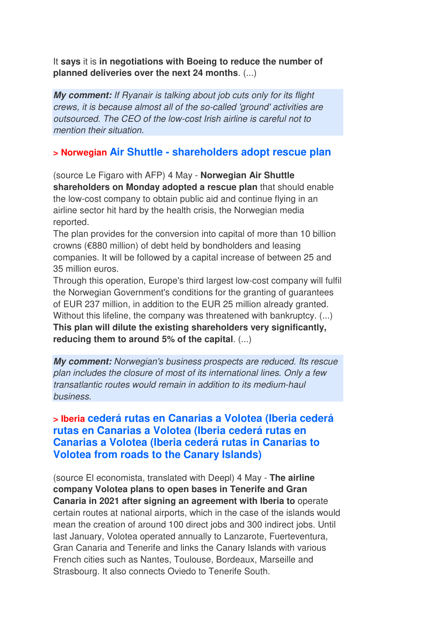It **says** it is **in negotiations with Boeing to reduce the number of planned deliveries over the next 24 months**. (...)

**My comment:** If Ryanair is talking about job cuts only for its flight crews, it is because almost all of the so-called 'ground' activities are outsourced. The CEO of the low-cost Irish airline is careful not to mention their situation.

## **> Norwegian Air Shuttle - shareholders adopt rescue plan**

(source Le Figaro with AFP) 4 May - **Norwegian Air Shuttle shareholders on Monday adopted a rescue plan** that should enable the low-cost company to obtain public aid and continue flying in an airline sector hit hard by the health crisis, the Norwegian media reported.

The plan provides for the conversion into capital of more than 10 billion crowns (€880 million) of debt held by bondholders and leasing companies. It will be followed by a capital increase of between 25 and 35 million euros.

Through this operation, Europe's third largest low-cost company will fulfil the Norwegian Government's conditions for the granting of guarantees of EUR 237 million, in addition to the EUR 25 million already granted. Without this lifeline, the company was threatened with bankruptcy. (...) **This plan will dilute the existing shareholders very significantly, reducing them to around 5% of the capital**. (...)

**My comment:** Norwegian's business prospects are reduced. Its rescue plan includes the closure of most of its international lines. Only a few transatlantic routes would remain in addition to its medium-haul business.

## **> Iberia cederá rutas en Canarias a Volotea (Iberia cederá rutas en Canarias a Volotea (Iberia cederá rutas en Canarias a Volotea (Iberia cederá rutas in Canarias to Volotea from roads to the Canary Islands)**

(source El economista, translated with Deepl) 4 May - **The airline company Volotea plans to open bases in Tenerife and Gran Canaria in 2021 after signing an agreement with Iberia to** operate certain routes at national airports, which in the case of the islands would mean the creation of around 100 direct jobs and 300 indirect jobs. Until last January, Volotea operated annually to Lanzarote, Fuerteventura, Gran Canaria and Tenerife and links the Canary Islands with various French cities such as Nantes, Toulouse, Bordeaux, Marseille and Strasbourg. It also connects Oviedo to Tenerife South.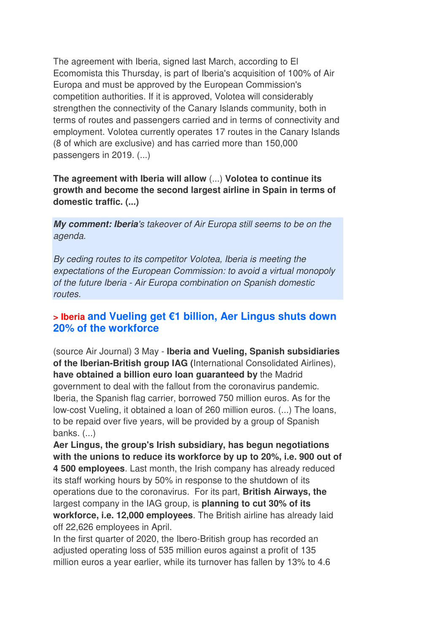The agreement with Iberia, signed last March, according to El Ecomomista this Thursday, is part of Iberia's acquisition of 100% of Air Europa and must be approved by the European Commission's competition authorities. If it is approved, Volotea will considerably strengthen the connectivity of the Canary Islands community, both in terms of routes and passengers carried and in terms of connectivity and employment. Volotea currently operates 17 routes in the Canary Islands (8 of which are exclusive) and has carried more than 150,000 passengers in 2019. (...)

#### **The agreement with Iberia will allow** (...) **Volotea to continue its growth and become the second largest airline in Spain in terms of domestic traffic. (...)**

**My comment: Iberia**'s takeover of Air Europa still seems to be on the agenda.

By ceding routes to its competitor Volotea, Iberia is meeting the expectations of the European Commission: to avoid a virtual monopoly of the future Iberia - Air Europa combination on Spanish domestic routes.

# **> Iberia and Vueling get €1 billion, Aer Lingus shuts down 20% of the workforce**

(source Air Journal) 3 May - **Iberia and Vueling, Spanish subsidiaries of the Iberian-British group IAG (**International Consolidated Airlines), **have obtained a billion euro loan guaranteed by** the Madrid government to deal with the fallout from the coronavirus pandemic. Iberia, the Spanish flag carrier, borrowed 750 million euros. As for the low-cost Vueling, it obtained a loan of 260 million euros. (...) The loans, to be repaid over five years, will be provided by a group of Spanish banks. (...)

**Aer Lingus, the group's Irish subsidiary, has begun negotiations with the unions to reduce its workforce by up to 20%, i.e. 900 out of 4 500 employees**. Last month, the Irish company has already reduced its staff working hours by 50% in response to the shutdown of its operations due to the coronavirus. For its part, **British Airways, the** largest company in the IAG group, is **planning to cut 30% of its workforce, i.e. 12,000 employees**. The British airline has already laid off 22,626 employees in April.

In the first quarter of 2020, the Ibero-British group has recorded an adjusted operating loss of 535 million euros against a profit of 135 million euros a year earlier, while its turnover has fallen by 13% to 4.6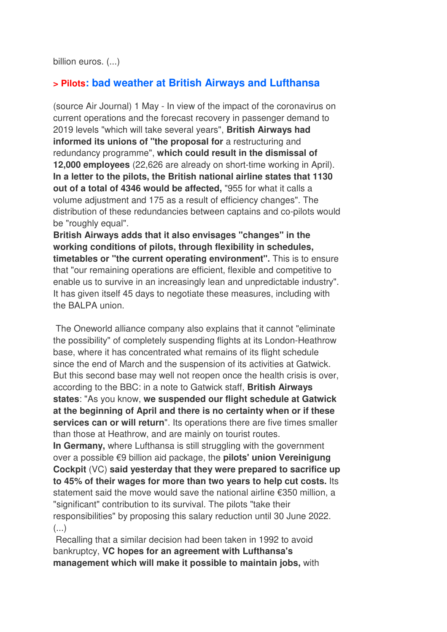billion euros. (...)

### **> Pilots: bad weather at British Airways and Lufthansa**

(source Air Journal) 1 May - In view of the impact of the coronavirus on current operations and the forecast recovery in passenger demand to 2019 levels "which will take several years", **British Airways had informed its unions of "the proposal for** a restructuring and redundancy programme", **which could result in the dismissal of 12,000 employees** (22,626 are already on short-time working in April). **In a letter to the pilots, the British national airline states that 1130 out of a total of 4346 would be affected,** "955 for what it calls a volume adjustment and 175 as a result of efficiency changes". The distribution of these redundancies between captains and co-pilots would be "roughly equal".

**British Airways adds that it also envisages "changes" in the working conditions of pilots, through flexibility in schedules, timetables or "the current operating environment".** This is to ensure that "our remaining operations are efficient, flexible and competitive to enable us to survive in an increasingly lean and unpredictable industry". It has given itself 45 days to negotiate these measures, including with the BALPA union.

 The Oneworld alliance company also explains that it cannot "eliminate the possibility" of completely suspending flights at its London-Heathrow base, where it has concentrated what remains of its flight schedule since the end of March and the suspension of its activities at Gatwick. But this second base may well not reopen once the health crisis is over, according to the BBC: in a note to Gatwick staff, **British Airways states**: "As you know, **we suspended our flight schedule at Gatwick at the beginning of April and there is no certainty when or if these services can or will return**". Its operations there are five times smaller than those at Heathrow, and are mainly on tourist routes.

**In Germany,** where Lufthansa is still struggling with the government over a possible €9 billion aid package, the **pilots' union Vereinigung Cockpit** (VC) **said yesterday that they were prepared to sacrifice up to 45% of their wages for more than two years to help cut costs.** Its statement said the move would save the national airline €350 million, a "significant" contribution to its survival. The pilots "take their responsibilities" by proposing this salary reduction until 30 June 2022.  $\left( \ldots \right)$ 

 Recalling that a similar decision had been taken in 1992 to avoid bankruptcy, **VC hopes for an agreement with Lufthansa's management which will make it possible to maintain jobs,** with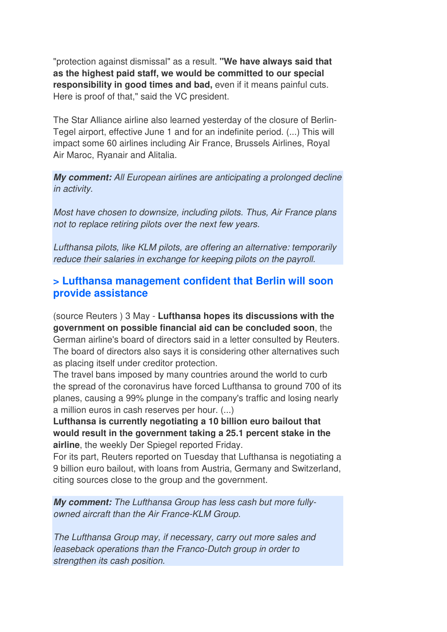"protection against dismissal" as a result. **"We have always said that as the highest paid staff, we would be committed to our special responsibility in good times and bad,** even if it means painful cuts. Here is proof of that," said the VC president.

The Star Alliance airline also learned yesterday of the closure of Berlin-Tegel airport, effective June 1 and for an indefinite period. (...) This will impact some 60 airlines including Air France, Brussels Airlines, Royal Air Maroc, Ryanair and Alitalia.

**My comment:** All European airlines are anticipating a prolonged decline in activity.

Most have chosen to downsize, including pilots. Thus, Air France plans not to replace retiring pilots over the next few years.

Lufthansa pilots, like KLM pilots, are offering an alternative: temporarily reduce their salaries in exchange for keeping pilots on the payroll.

### **> Lufthansa management confident that Berlin will soon provide assistance**

(source Reuters ) 3 May - **Lufthansa hopes its discussions with the government on possible financial aid can be concluded soon**, the German airline's board of directors said in a letter consulted by Reuters. The board of directors also says it is considering other alternatives such as placing itself under creditor protection.

The travel bans imposed by many countries around the world to curb the spread of the coronavirus have forced Lufthansa to ground 700 of its planes, causing a 99% plunge in the company's traffic and losing nearly a million euros in cash reserves per hour. (...)

**Lufthansa is currently negotiating a 10 billion euro bailout that would result in the government taking a 25.1 percent stake in the airline**, the weekly Der Spiegel reported Friday.

For its part, Reuters reported on Tuesday that Lufthansa is negotiating a 9 billion euro bailout, with loans from Austria, Germany and Switzerland, citing sources close to the group and the government.

**My comment:** The Lufthansa Group has less cash but more fullyowned aircraft than the Air France-KLM Group.

The Lufthansa Group may, if necessary, carry out more sales and leaseback operations than the Franco-Dutch group in order to strengthen its cash position.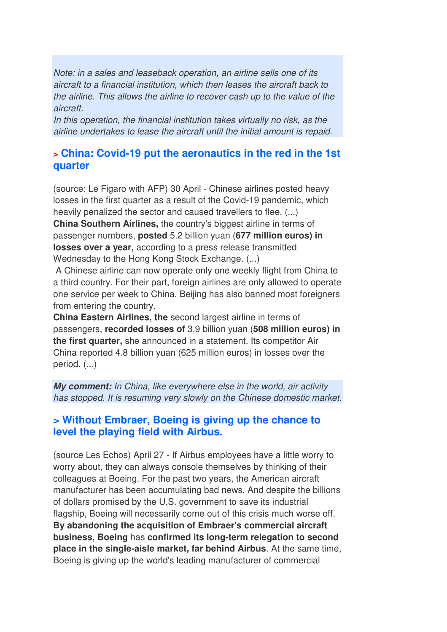Note: in a sales and leaseback operation, an airline sells one of its aircraft to a financial institution, which then leases the aircraft back to the airline. This allows the airline to recover cash up to the value of the aircraft.

In this operation, the financial institution takes virtually no risk, as the airline undertakes to lease the aircraft until the initial amount is repaid.

### **> China: Covid-19 put the aeronautics in the red in the 1st quarter**

(source: Le Figaro with AFP) 30 April - Chinese airlines posted heavy losses in the first quarter as a result of the Covid-19 pandemic, which heavily penalized the sector and caused travellers to flee. (...) **China Southern Airlines,** the country's biggest airline in terms of passenger numbers, **posted** 5.2 billion yuan (**677 million euros) in losses over a year,** according to a press release transmitted Wednesday to the Hong Kong Stock Exchange. (...)

 A Chinese airline can now operate only one weekly flight from China to a third country. For their part, foreign airlines are only allowed to operate one service per week to China. Beijing has also banned most foreigners from entering the country.

**China Eastern Airlines, the** second largest airline in terms of passengers, **recorded losses of** 3.9 billion yuan (**508 million euros) in the first quarter,** she announced in a statement. Its competitor Air China reported 4.8 billion yuan (625 million euros) in losses over the period. (...)

**My comment:** In China, like everywhere else in the world, air activity has stopped. It is resuming very slowly on the Chinese domestic market.

### **> Without Embraer, Boeing is giving up the chance to level the playing field with Airbus.**

(source Les Echos) April 27 - If Airbus employees have a little worry to worry about, they can always console themselves by thinking of their colleagues at Boeing. For the past two years, the American aircraft manufacturer has been accumulating bad news. And despite the billions of dollars promised by the U.S. government to save its industrial flagship, Boeing will necessarily come out of this crisis much worse off. **By abandoning the acquisition of Embraer's commercial aircraft business, Boeing** has **confirmed its long-term relegation to second place in the single-aisle market, far behind Airbus**. At the same time, Boeing is giving up the world's leading manufacturer of commercial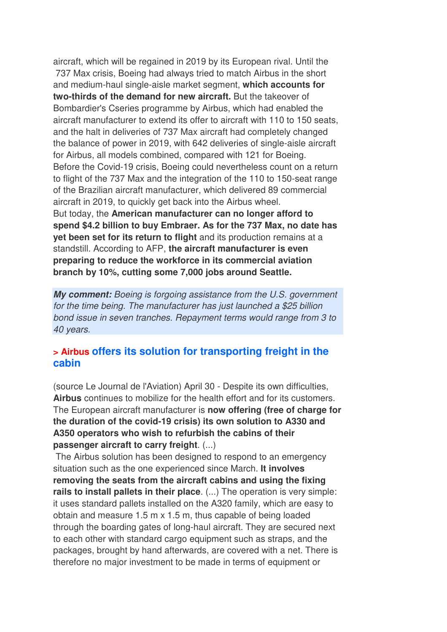aircraft, which will be regained in 2019 by its European rival. Until the 737 Max crisis, Boeing had always tried to match Airbus in the short and medium-haul single-aisle market segment, **which accounts for two-thirds of the demand for new aircraft.** But the takeover of Bombardier's Cseries programme by Airbus, which had enabled the aircraft manufacturer to extend its offer to aircraft with 110 to 150 seats, and the halt in deliveries of 737 Max aircraft had completely changed the balance of power in 2019, with 642 deliveries of single-aisle aircraft for Airbus, all models combined, compared with 121 for Boeing. Before the Covid-19 crisis, Boeing could nevertheless count on a return to flight of the 737 Max and the integration of the 110 to 150-seat range of the Brazilian aircraft manufacturer, which delivered 89 commercial aircraft in 2019, to quickly get back into the Airbus wheel. But today, the **American manufacturer can no longer afford to spend \$4.2 billion to buy Embraer. As for the 737 Max, no date has yet been set for its return to flight** and its production remains at a standstill. According to AFP, **the aircraft manufacturer is even preparing to reduce the workforce in its commercial aviation branch by 10%, cutting some 7,000 jobs around Seattle.**

**My comment:** Boeing is forgoing assistance from the U.S. government for the time being. The manufacturer has just launched a \$25 billion bond issue in seven tranches. Repayment terms would range from 3 to 40 years.

#### **> Airbus offers its solution for transporting freight in the cabin**

(source Le Journal de l'Aviation) April 30 - Despite its own difficulties, **Airbus** continues to mobilize for the health effort and for its customers. The European aircraft manufacturer is **now offering (free of charge for the duration of the covid-19 crisis) its own solution to A330 and A350 operators who wish to refurbish the cabins of their passenger aircraft to carry freight**. (...)

 The Airbus solution has been designed to respond to an emergency situation such as the one experienced since March. **It involves removing the seats from the aircraft cabins and using the fixing rails to install pallets in their place**. (...) The operation is very simple: it uses standard pallets installed on the A320 family, which are easy to obtain and measure 1.5 m x 1.5 m, thus capable of being loaded through the boarding gates of long-haul aircraft. They are secured next to each other with standard cargo equipment such as straps, and the packages, brought by hand afterwards, are covered with a net. There is therefore no major investment to be made in terms of equipment or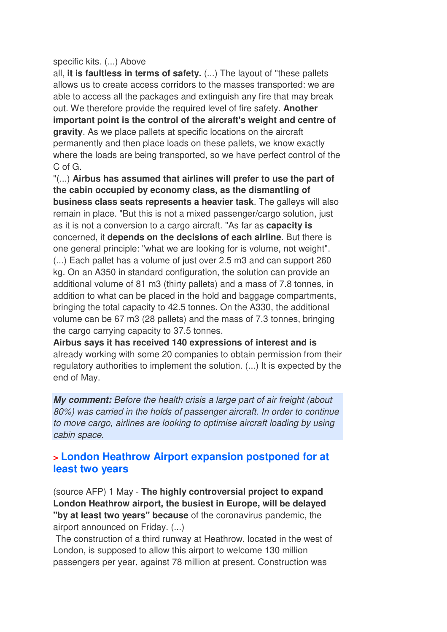#### specific kits. (...) Above

all, **it is faultless in terms of safety.** (...) The layout of "these pallets allows us to create access corridors to the masses transported: we are able to access all the packages and extinguish any fire that may break out. We therefore provide the required level of fire safety. **Another important point is the control of the aircraft's weight and centre of gravity**. As we place pallets at specific locations on the aircraft permanently and then place loads on these pallets, we know exactly where the loads are being transported, so we have perfect control of the C of G.

"(...) **Airbus has assumed that airlines will prefer to use the part of the cabin occupied by economy class, as the dismantling of business class seats represents a heavier task**. The galleys will also remain in place. "But this is not a mixed passenger/cargo solution, just as it is not a conversion to a cargo aircraft. "As far as **capacity is**  concerned, it **depends on the decisions of each airline**. But there is one general principle: "what we are looking for is volume, not weight". (...) Each pallet has a volume of just over 2.5 m3 and can support 260 kg. On an A350 in standard configuration, the solution can provide an additional volume of 81 m3 (thirty pallets) and a mass of 7.8 tonnes, in addition to what can be placed in the hold and baggage compartments, bringing the total capacity to 42.5 tonnes. On the A330, the additional volume can be 67 m3 (28 pallets) and the mass of 7.3 tonnes, bringing the cargo carrying capacity to 37.5 tonnes.

**Airbus says it has received 140 expressions of interest and is** already working with some 20 companies to obtain permission from their regulatory authorities to implement the solution. (...) It is expected by the end of May.

**My comment:** Before the health crisis a large part of air freight (about 80%) was carried in the holds of passenger aircraft. In order to continue to move cargo, airlines are looking to optimise aircraft loading by using cabin space.

### **> London Heathrow Airport expansion postponed for at least two years**

(source AFP) 1 May - **The highly controversial project to expand London Heathrow airport, the busiest in Europe, will be delayed "by at least two years" because** of the coronavirus pandemic, the airport announced on Friday. (...)

 The construction of a third runway at Heathrow, located in the west of London, is supposed to allow this airport to welcome 130 million passengers per year, against 78 million at present. Construction was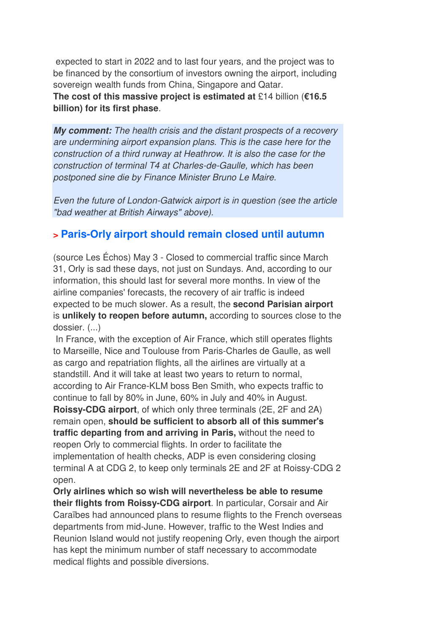expected to start in 2022 and to last four years, and the project was to be financed by the consortium of investors owning the airport, including sovereign wealth funds from China, Singapore and Qatar. **The cost of this massive project is estimated at** £14 billion (**€16.5 billion) for its first phase**.

**My comment:** The health crisis and the distant prospects of a recovery are undermining airport expansion plans. This is the case here for the construction of a third runway at Heathrow. It is also the case for the construction of terminal T4 at Charles-de-Gaulle, which has been postponed sine die by Finance Minister Bruno Le Maire.

Even the future of London-Gatwick airport is in question (see the article "bad weather at British Airways" above).

# **> Paris-Orly airport should remain closed until autumn**

(source Les Échos) May 3 - Closed to commercial traffic since March 31, Orly is sad these days, not just on Sundays. And, according to our information, this should last for several more months. In view of the airline companies' forecasts, the recovery of air traffic is indeed expected to be much slower. As a result, the **second Parisian airport** is **unlikely to reopen before autumn,** according to sources close to the dossier. (...)

 In France, with the exception of Air France, which still operates flights to Marseille, Nice and Toulouse from Paris-Charles de Gaulle, as well as cargo and repatriation flights, all the airlines are virtually at a standstill. And it will take at least two years to return to normal, according to Air France-KLM boss Ben Smith, who expects traffic to continue to fall by 80% in June, 60% in July and 40% in August. **Roissy-CDG airport**, of which only three terminals (2E, 2F and 2A) remain open, **should be sufficient to absorb all of this summer's traffic departing from and arriving in Paris,** without the need to reopen Orly to commercial flights. In order to facilitate the implementation of health checks, ADP is even considering closing terminal A at CDG 2, to keep only terminals 2E and 2F at Roissy-CDG 2 open.

**Orly airlines which so wish will nevertheless be able to resume their flights from Roissy-CDG airport**. In particular, Corsair and Air Caraïbes had announced plans to resume flights to the French overseas departments from mid-June. However, traffic to the West Indies and Reunion Island would not justify reopening Orly, even though the airport has kept the minimum number of staff necessary to accommodate medical flights and possible diversions.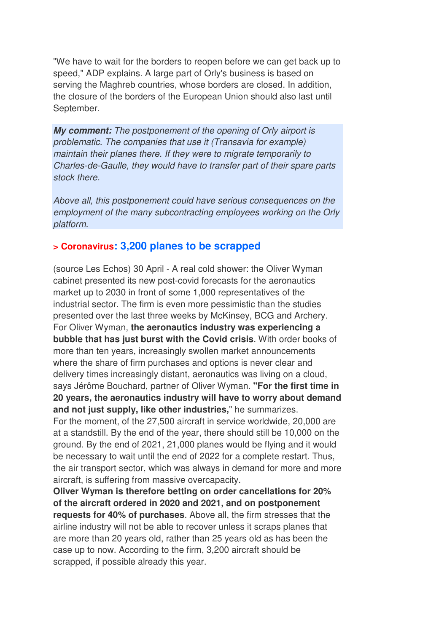"We have to wait for the borders to reopen before we can get back up to speed," ADP explains. A large part of Orly's business is based on serving the Maghreb countries, whose borders are closed. In addition, the closure of the borders of the European Union should also last until September.

**My comment:** The postponement of the opening of Orly airport is problematic. The companies that use it (Transavia for example) maintain their planes there. If they were to migrate temporarily to Charles-de-Gaulle, they would have to transfer part of their spare parts stock there.

Above all, this postponement could have serious consequences on the employment of the many subcontracting employees working on the Orly platform.

### **> Coronavirus: 3,200 planes to be scrapped**

(source Les Echos) 30 April - A real cold shower: the Oliver Wyman cabinet presented its new post-covid forecasts for the aeronautics market up to 2030 in front of some 1,000 representatives of the industrial sector. The firm is even more pessimistic than the studies presented over the last three weeks by McKinsey, BCG and Archery. For Oliver Wyman, **the aeronautics industry was experiencing a bubble that has just burst with the Covid crisis**. With order books of more than ten years, increasingly swollen market announcements where the share of firm purchases and options is never clear and delivery times increasingly distant, aeronautics was living on a cloud, says Jérôme Bouchard, partner of Oliver Wyman. **"For the first time in 20 years, the aeronautics industry will have to worry about demand and not just supply, like other industries,**" he summarizes.

For the moment, of the 27,500 aircraft in service worldwide, 20,000 are at a standstill. By the end of the year, there should still be 10,000 on the ground. By the end of 2021, 21,000 planes would be flying and it would be necessary to wait until the end of 2022 for a complete restart. Thus, the air transport sector, which was always in demand for more and more aircraft, is suffering from massive overcapacity.

**Oliver Wyman is therefore betting on order cancellations for 20% of the aircraft ordered in 2020 and 2021, and on postponement requests for 40% of purchases**. Above all, the firm stresses that the airline industry will not be able to recover unless it scraps planes that are more than 20 years old, rather than 25 years old as has been the case up to now. According to the firm, 3,200 aircraft should be scrapped, if possible already this year.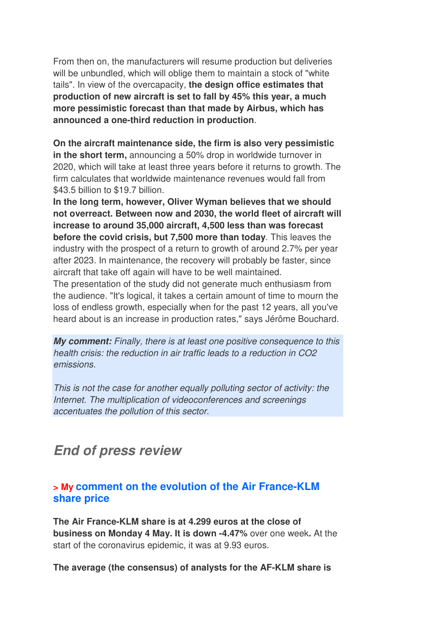From then on, the manufacturers will resume production but deliveries will be unbundled, which will oblige them to maintain a stock of "white tails". In view of the overcapacity, **the design office estimates that production of new aircraft is set to fall by 45% this year, a much more pessimistic forecast than that made by Airbus, which has announced a one-third reduction in production**.

**On the aircraft maintenance side, the firm is also very pessimistic in the short term,** announcing a 50% drop in worldwide turnover in 2020, which will take at least three years before it returns to growth. The firm calculates that worldwide maintenance revenues would fall from \$43.5 billion to \$19.7 billion.

**In the long term, however, Oliver Wyman believes that we should not overreact. Between now and 2030, the world fleet of aircraft will increase to around 35,000 aircraft, 4,500 less than was forecast before the covid crisis, but 7,500 more than today**. This leaves the industry with the prospect of a return to growth of around 2.7% per year after 2023. In maintenance, the recovery will probably be faster, since aircraft that take off again will have to be well maintained.

The presentation of the study did not generate much enthusiasm from the audience. "It's logical, it takes a certain amount of time to mourn the loss of endless growth, especially when for the past 12 years, all you've heard about is an increase in production rates," says Jérôme Bouchard.

**My comment:** Finally, there is at least one positive consequence to this health crisis: the reduction in air traffic leads to a reduction in CO2 emissions.

This is not the case for another equally polluting sector of activity: the Internet. The multiplication of videoconferences and screenings accentuates the pollution of this sector.

# **End of press review**

# **> My comment on the evolution of the Air France-KLM share price**

**The Air France-KLM share is at 4.299 euros at the close of business on Monday 4 May. It is down -4.47%** over one week**.** At the start of the coronavirus epidemic, it was at 9.93 euros.

**The average (the consensus) of analysts for the AF-KLM share is**